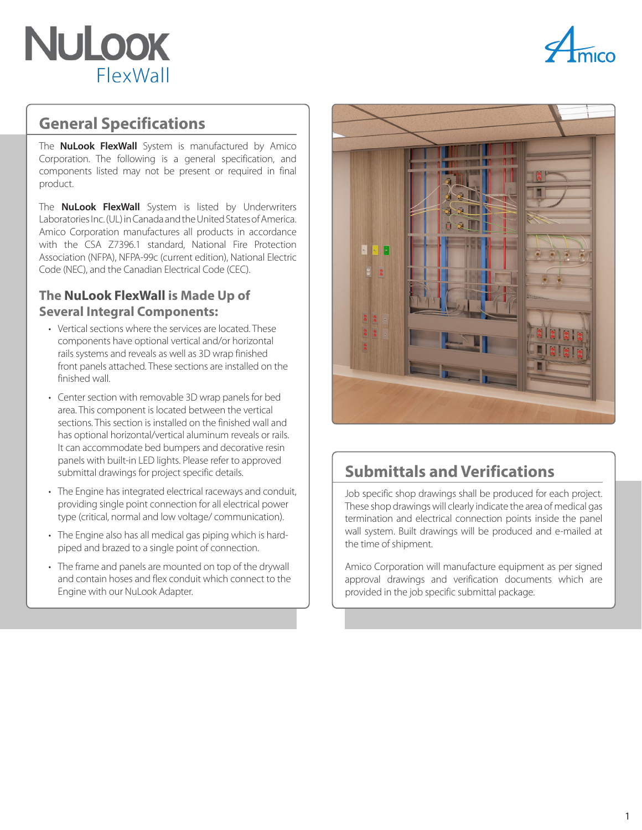



### **General Specifications**

The **NuLook FlexWall** System is manufactured by Amico Corporation. The following is a general specification, and components listed may not be present or required in final product.

The **NuLook FlexWall** System is listed by Underwriters Laboratories Inc. (UL) in Canada and the United States of America. Amico Corporation manufactures all products in accordance with the CSA Z7396.1 standard, National Fire Protection Association (NFPA), NFPA-99c (current edition), National Electric Code (NEC), and the Canadian Electrical Code (CEC).

#### **The NuLook FlexWall is Made Up of Several Integral Components:**

- Vertical sections where the services are located. These components have optional vertical and/or horizontal rails systems and reveals as well as 3D wrap finished front panels attached. These sections are installed on the finished wall.
- Center section with removable 3D wrap panels for bed area. This component is located between the vertical sections. This section is installed on the finished wall and has optional horizontal/vertical aluminum reveals or rails. It can accommodate bed bumpers and decorative resin panels with built-in LED lights. Please refer to approved submittal drawings for project specific details.
- The Engine has integrated electrical raceways and conduit, providing single point connection for all electrical power type (critical, normal and low voltage/ communication).
- The Engine also has all medical gas piping which is hardpiped and brazed to a single point of connection.
- The frame and panels are mounted on top of the drywall and contain hoses and flex conduit which connect to the Engine with our NuLook Adapter.



## **Submittals and Verifications**

Job specific shop drawings shall be produced for each project. These shop drawings will clearly indicate the area of medical gas termination and electrical connection points inside the panel wall system. Built drawings will be produced and e-mailed at the time of shipment.

Amico Corporation will manufacture equipment as per signed approval drawings and verification documents which are provided in the job specific submittal package.